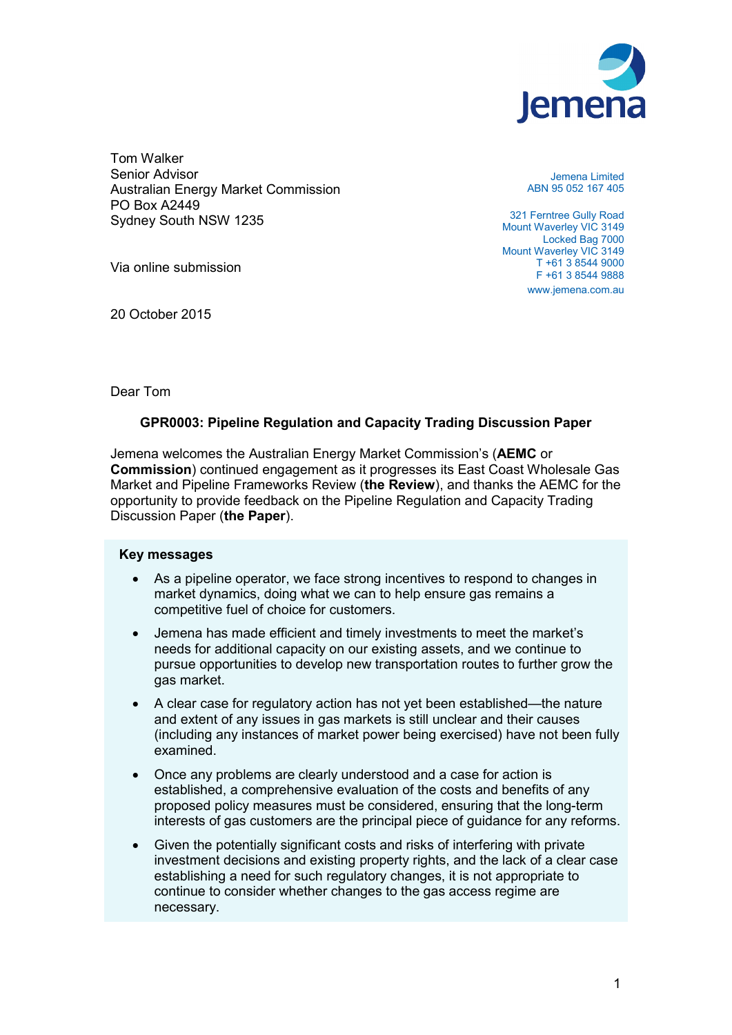

Tom Walker Senior Advisor Australian Energy Market Commission PO Box A2449 Sydney South NSW 1235

Via online submission

20 October 2015

Jemena Limited ABN 95 052 167 405

321 Ferntree Gully Road Mount Waverley VIC 3149 Locked Bag 7000 Mount Waverley VIC 3149 T +61 3 8544 9000 F +61 3 8544 9888 www.jemena.com.au

Dear Tom

# **GPR0003: Pipeline Regulation and Capacity Trading Discussion Paper**

Jemena welcomes the Australian Energy Market Commission's (**AEMC** or **Commission**) continued engagement as it progresses its East Coast Wholesale Gas Market and Pipeline Frameworks Review (**the Review**), and thanks the AEMC for the opportunity to provide feedback on the Pipeline Regulation and Capacity Trading Discussion Paper (**the Paper**).

# **Key messages**

- As a pipeline operator, we face strong incentives to respond to changes in market dynamics, doing what we can to help ensure gas remains a competitive fuel of choice for customers.
- Jemena has made efficient and timely investments to meet the market's needs for additional capacity on our existing assets, and we continue to pursue opportunities to develop new transportation routes to further grow the gas market.
- A clear case for regulatory action has not yet been established—the nature and extent of any issues in gas markets is still unclear and their causes (including any instances of market power being exercised) have not been fully examined.
- Once any problems are clearly understood and a case for action is established, a comprehensive evaluation of the costs and benefits of any proposed policy measures must be considered, ensuring that the long-term interests of gas customers are the principal piece of guidance for any reforms.
- Given the potentially significant costs and risks of interfering with private investment decisions and existing property rights, and the lack of a clear case establishing a need for such regulatory changes, it is not appropriate to continue to consider whether changes to the gas access regime are necessary.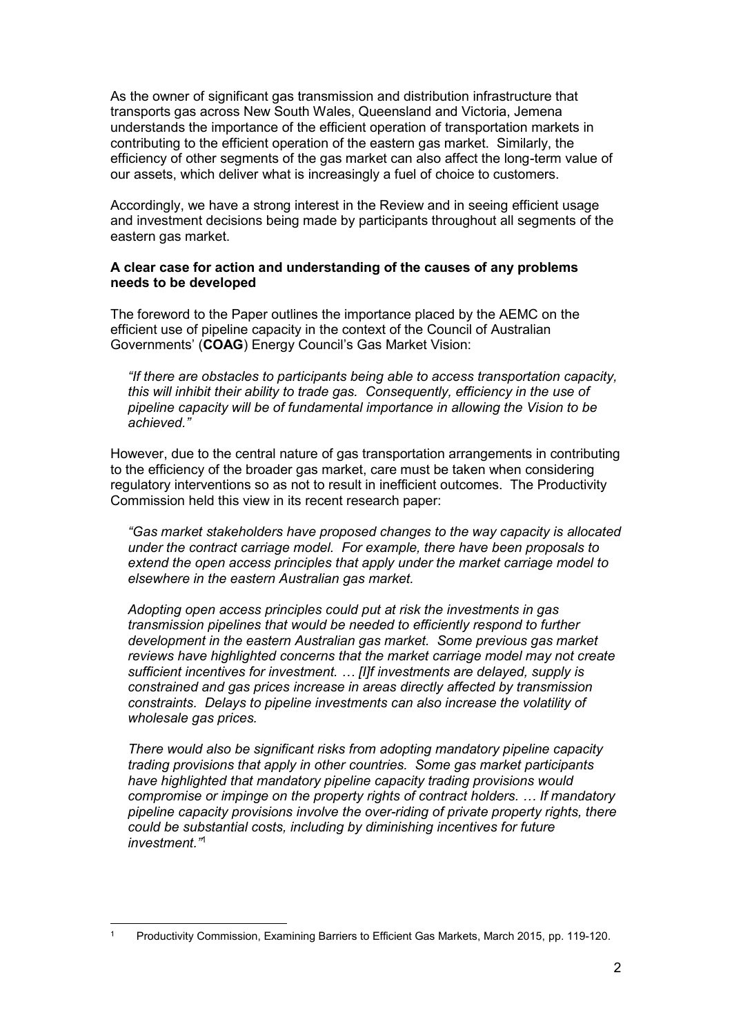As the owner of significant gas transmission and distribution infrastructure that transports gas across New South Wales, Queensland and Victoria, Jemena understands the importance of the efficient operation of transportation markets in contributing to the efficient operation of the eastern gas market. Similarly, the efficiency of other segments of the gas market can also affect the long-term value of our assets, which deliver what is increasingly a fuel of choice to customers.

Accordingly, we have a strong interest in the Review and in seeing efficient usage and investment decisions being made by participants throughout all segments of the eastern gas market.

# **A clear case for action and understanding of the causes of any problems needs to be developed**

The foreword to the Paper outlines the importance placed by the AEMC on the efficient use of pipeline capacity in the context of the Council of Australian Governments' (**COAG**) Energy Council's Gas Market Vision:

*"If there are obstacles to participants being able to access transportation capacity, this will inhibit their ability to trade gas. Consequently, efficiency in the use of pipeline capacity will be of fundamental importance in allowing the Vision to be achieved."*

However, due to the central nature of gas transportation arrangements in contributing to the efficiency of the broader gas market, care must be taken when considering regulatory interventions so as not to result in inefficient outcomes. The Productivity Commission held this view in its recent research paper:

*"Gas market stakeholders have proposed changes to the way capacity is allocated under the contract carriage model. For example, there have been proposals to extend the open access principles that apply under the market carriage model to elsewhere in the eastern Australian gas market.*

*Adopting open access principles could put at risk the investments in gas transmission pipelines that would be needed to efficiently respond to further development in the eastern Australian gas market. Some previous gas market reviews have highlighted concerns that the market carriage model may not create sufficient incentives for investment. … [I]f investments are delayed, supply is constrained and gas prices increase in areas directly affected by transmission constraints. Delays to pipeline investments can also increase the volatility of wholesale gas prices.*

*There would also be significant risks from adopting mandatory pipeline capacity trading provisions that apply in other countries. Some gas market participants have highlighted that mandatory pipeline capacity trading provisions would compromise or impinge on the property rights of contract holders. … If mandatory pipeline capacity provisions involve the over-riding of private property rights, there could be substantial costs, including by diminishing incentives for future investment."*<sup>1</sup>

<sup>1</sup> Productivity Commission, Examining Barriers to Efficient Gas Markets, March 2015, pp. 119-120.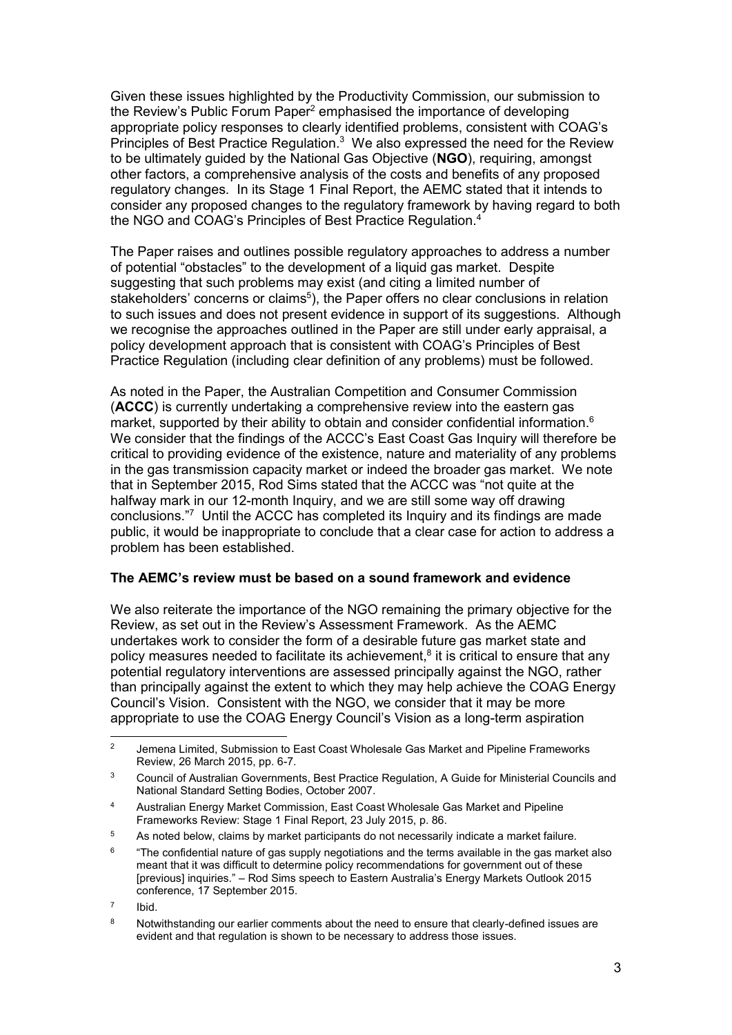Given these issues highlighted by the Productivity Commission, our submission to the Review's Public Forum Paper<sup>2</sup> emphasised the importance of developing appropriate policy responses to clearly identified problems, consistent with COAG's Principles of Best Practice Regulation.<sup>3</sup> We also expressed the need for the Review to be ultimately guided by the National Gas Objective (**NGO**), requiring, amongst other factors, a comprehensive analysis of the costs and benefits of any proposed regulatory changes. In its Stage 1 Final Report, the AEMC stated that it intends to consider any proposed changes to the regulatory framework by having regard to both the NGO and COAG's Principles of Best Practice Regulation.<sup>4</sup>

The Paper raises and outlines possible regulatory approaches to address a number of potential "obstacles" to the development of a liquid gas market. Despite suggesting that such problems may exist (and citing a limited number of stakeholders' concerns or claims<sup>5</sup>), the Paper offers no clear conclusions in relation to such issues and does not present evidence in support of its suggestions. Although we recognise the approaches outlined in the Paper are still under early appraisal, a policy development approach that is consistent with COAG's Principles of Best Practice Regulation (including clear definition of any problems) must be followed.

As noted in the Paper, the Australian Competition and Consumer Commission (**ACCC**) is currently undertaking a comprehensive review into the eastern gas market, supported by their ability to obtain and consider confidential information.<sup>6</sup> We consider that the findings of the ACCC's East Coast Gas Inquiry will therefore be critical to providing evidence of the existence, nature and materiality of any problems in the gas transmission capacity market or indeed the broader gas market. We note that in September 2015, Rod Sims stated that the ACCC was "not quite at the halfway mark in our 12-month Inquiry, and we are still some way off drawing conclusions."<sup>7</sup> Until the ACCC has completed its Inquiry and its findings are made public, it would be inappropriate to conclude that a clear case for action to address a problem has been established.

# **The AEMC's review must be based on a sound framework and evidence**

We also reiterate the importance of the NGO remaining the primary objective for the Review, as set out in the Review's Assessment Framework. As the AEMC undertakes work to consider the form of a desirable future gas market state and policy measures needed to facilitate its achievement,<sup>8</sup> it is critical to ensure that any potential regulatory interventions are assessed principally against the NGO, rather than principally against the extent to which they may help achieve the COAG Energy Council's Vision. Consistent with the NGO, we consider that it may be more appropriate to use the COAG Energy Council's Vision as a long-term aspiration

7 Ibid.

<sup>&</sup>lt;sup>2</sup> Jemena Limited. Submission to East Coast Wholesale Gas Market and Pipeline Frameworks Review, 26 March 2015, pp. 6-7.

<sup>&</sup>lt;sup>3</sup> Council of Australian Governments, Best Practice Regulation, A Guide for Ministerial Councils and National Standard Setting Bodies, October 2007.

<sup>4</sup> Australian Energy Market Commission, East Coast Wholesale Gas Market and Pipeline Frameworks Review: Stage 1 Final Report, 23 July 2015, p. 86.

<sup>&</sup>lt;sup>5</sup> As noted below, claims by market participants do not necessarily indicate a market failure.

 $^6$   $\quad$  "The confidential nature of gas supply negotiations and the terms available in the gas market also meant that it was difficult to determine policy recommendations for government out of these [previous] inquiries." – Rod Sims speech to Eastern Australia's Energy Markets Outlook 2015 conference, 17 September 2015.

<sup>&</sup>lt;sup>8</sup> Notwithstanding our earlier comments about the need to ensure that clearly-defined issues are evident and that regulation is shown to be necessary to address those issues.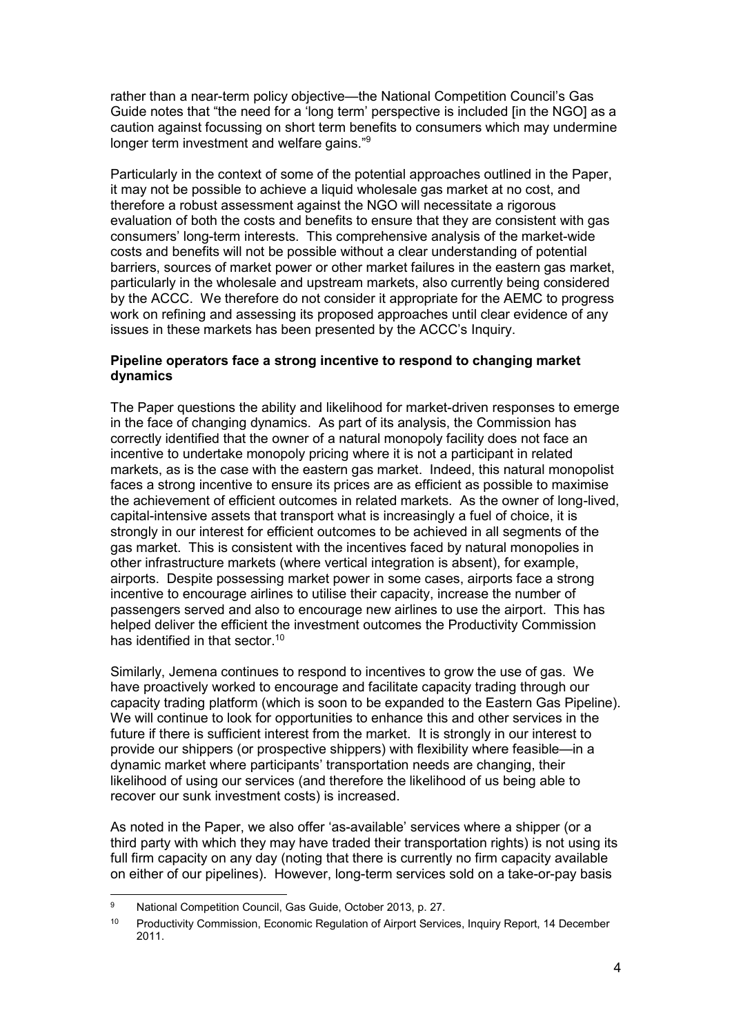rather than a near-term policy objective—the National Competition Council's Gas Guide notes that "the need for a 'long term' perspective is included [in the NGO] as a caution against focussing on short term benefits to consumers which may undermine longer term investment and welfare gains."<sup>9</sup>

Particularly in the context of some of the potential approaches outlined in the Paper, it may not be possible to achieve a liquid wholesale gas market at no cost, and therefore a robust assessment against the NGO will necessitate a rigorous evaluation of both the costs and benefits to ensure that they are consistent with gas consumers' long-term interests. This comprehensive analysis of the market-wide costs and benefits will not be possible without a clear understanding of potential barriers, sources of market power or other market failures in the eastern gas market, particularly in the wholesale and upstream markets, also currently being considered by the ACCC. We therefore do not consider it appropriate for the AEMC to progress work on refining and assessing its proposed approaches until clear evidence of any issues in these markets has been presented by the ACCC's Inquiry.

# **Pipeline operators face a strong incentive to respond to changing market dynamics**

The Paper questions the ability and likelihood for market-driven responses to emerge in the face of changing dynamics. As part of its analysis, the Commission has correctly identified that the owner of a natural monopoly facility does not face an incentive to undertake monopoly pricing where it is not a participant in related markets, as is the case with the eastern gas market. Indeed, this natural monopolist faces a strong incentive to ensure its prices are as efficient as possible to maximise the achievement of efficient outcomes in related markets. As the owner of long-lived, capital-intensive assets that transport what is increasingly a fuel of choice, it is strongly in our interest for efficient outcomes to be achieved in all segments of the gas market. This is consistent with the incentives faced by natural monopolies in other infrastructure markets (where vertical integration is absent), for example, airports. Despite possessing market power in some cases, airports face a strong incentive to encourage airlines to utilise their capacity, increase the number of passengers served and also to encourage new airlines to use the airport. This has helped deliver the efficient the investment outcomes the Productivity Commission has identified in that sector.<sup>10</sup>

Similarly, Jemena continues to respond to incentives to grow the use of gas. We have proactively worked to encourage and facilitate capacity trading through our capacity trading platform (which is soon to be expanded to the Eastern Gas Pipeline). We will continue to look for opportunities to enhance this and other services in the future if there is sufficient interest from the market. It is strongly in our interest to provide our shippers (or prospective shippers) with flexibility where feasible—in a dynamic market where participants' transportation needs are changing, their likelihood of using our services (and therefore the likelihood of us being able to recover our sunk investment costs) is increased.

As noted in the Paper, we also offer 'as-available' services where a shipper (or a third party with which they may have traded their transportation rights) is not using its full firm capacity on any day (noting that there is currently no firm capacity available on either of our pipelines). However, long-term services sold on a take-or-pay basis

<sup>9</sup> National Competition Council, Gas Guide, October 2013, p. 27.

<sup>&</sup>lt;sup>10</sup> Productivity Commission, Economic Regulation of Airport Services, Inquiry Report, 14 December 2011.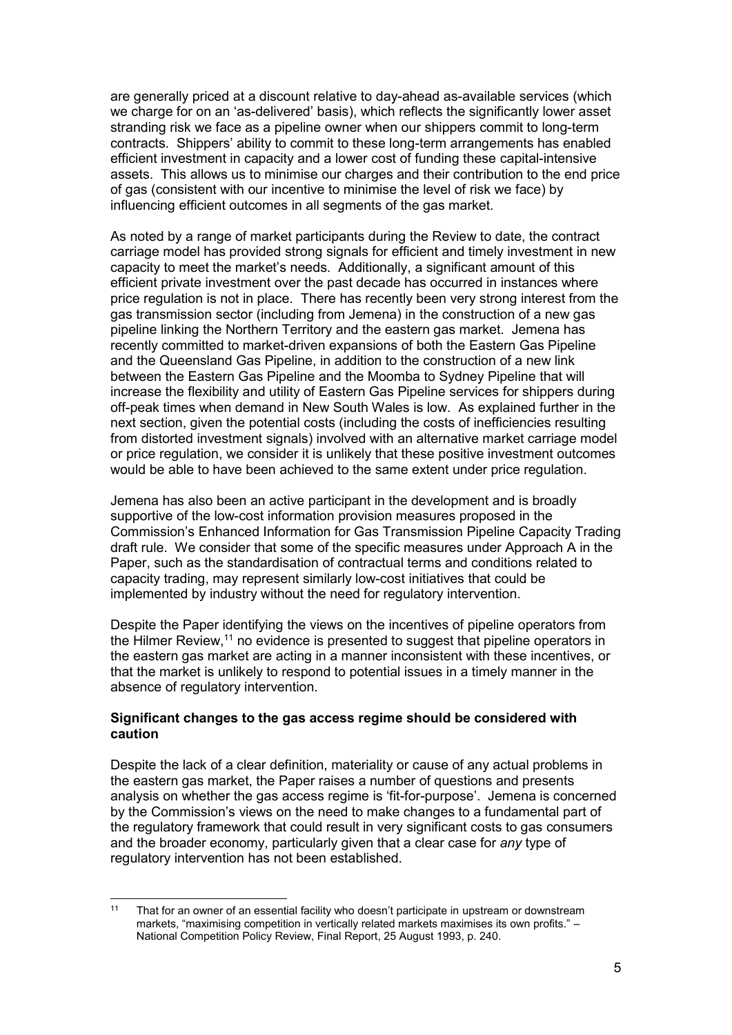are generally priced at a discount relative to day-ahead as-available services (which we charge for on an 'as-delivered' basis), which reflects the significantly lower asset stranding risk we face as a pipeline owner when our shippers commit to long-term contracts. Shippers' ability to commit to these long-term arrangements has enabled efficient investment in capacity and a lower cost of funding these capital-intensive assets. This allows us to minimise our charges and their contribution to the end price of gas (consistent with our incentive to minimise the level of risk we face) by influencing efficient outcomes in all segments of the gas market.

As noted by a range of market participants during the Review to date, the contract carriage model has provided strong signals for efficient and timely investment in new capacity to meet the market's needs. Additionally, a significant amount of this efficient private investment over the past decade has occurred in instances where price regulation is not in place. There has recently been very strong interest from the gas transmission sector (including from Jemena) in the construction of a new gas pipeline linking the Northern Territory and the eastern gas market. Jemena has recently committed to market-driven expansions of both the Eastern Gas Pipeline and the Queensland Gas Pipeline, in addition to the construction of a new link between the Eastern Gas Pipeline and the Moomba to Sydney Pipeline that will increase the flexibility and utility of Eastern Gas Pipeline services for shippers during off-peak times when demand in New South Wales is low. As explained further in the next section, given the potential costs (including the costs of inefficiencies resulting from distorted investment signals) involved with an alternative market carriage model or price regulation, we consider it is unlikely that these positive investment outcomes would be able to have been achieved to the same extent under price regulation.

Jemena has also been an active participant in the development and is broadly supportive of the low-cost information provision measures proposed in the Commission's Enhanced Information for Gas Transmission Pipeline Capacity Trading draft rule. We consider that some of the specific measures under Approach A in the Paper, such as the standardisation of contractual terms and conditions related to capacity trading, may represent similarly low-cost initiatives that could be implemented by industry without the need for regulatory intervention.

Despite the Paper identifying the views on the incentives of pipeline operators from the Hilmer Review,<sup>11</sup> no evidence is presented to suggest that pipeline operators in the eastern gas market are acting in a manner inconsistent with these incentives, or that the market is unlikely to respond to potential issues in a timely manner in the absence of regulatory intervention.

## **Significant changes to the gas access regime should be considered with caution**

Despite the lack of a clear definition, materiality or cause of any actual problems in the eastern gas market, the Paper raises a number of questions and presents analysis on whether the gas access regime is 'fit-for-purpose'. Jemena is concerned by the Commission's views on the need to make changes to a fundamental part of the regulatory framework that could result in very significant costs to gas consumers and the broader economy, particularly given that a clear case for *any* type of regulatory intervention has not been established.

<sup>&</sup>lt;sup>11</sup> That for an owner of an essential facility who doesn't participate in upstream or downstream markets, "maximising competition in vertically related markets maximises its own profits." – National Competition Policy Review, Final Report, 25 August 1993, p. 240.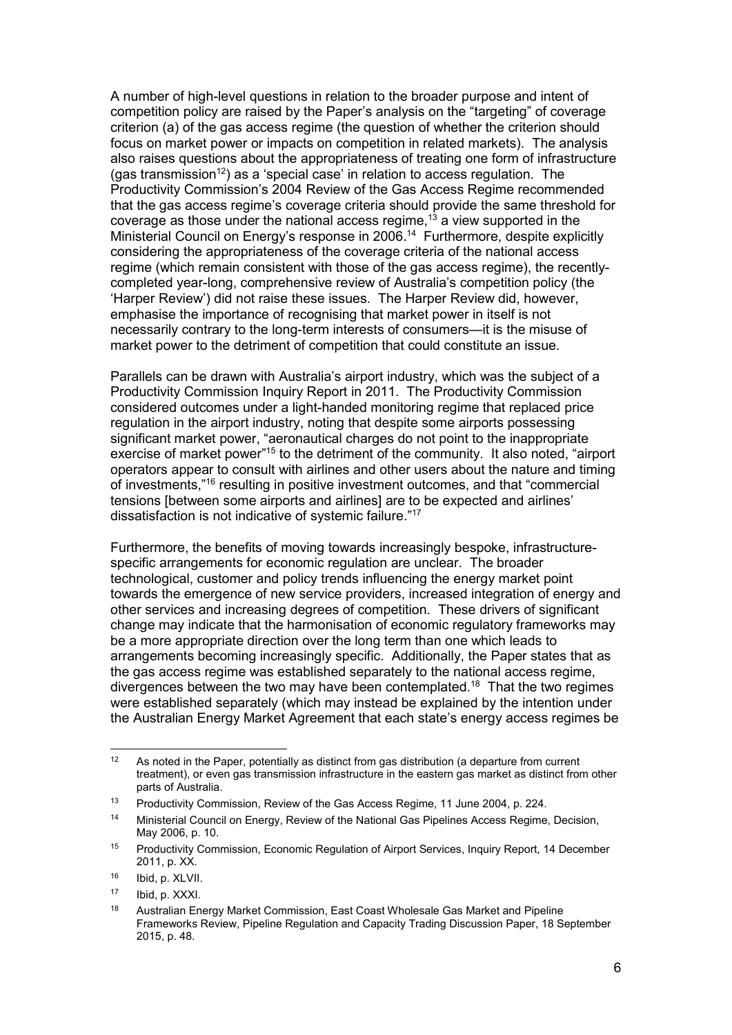A number of high-level questions in relation to the broader purpose and intent of competition policy are raised by the Paper's analysis on the "targeting" of coverage criterion (a) of the gas access regime (the question of whether the criterion should focus on market power or impacts on competition in related markets). The analysis also raises questions about the appropriateness of treating one form of infrastructure (gas transmission<sup>12</sup>) as a 'special case' in relation to access regulation. The Productivity Commission's 2004 Review of the Gas Access Regime recommended that the gas access regime's coverage criteria should provide the same threshold for coverage as those under the national access regime, $13$  a view supported in the Ministerial Council on Energy's response in 2006.<sup>14</sup> Furthermore, despite explicitly considering the appropriateness of the coverage criteria of the national access regime (which remain consistent with those of the gas access regime), the recently completed year-long, comprehensive review of Australia's competition policy (the 'Harper Review') did not raise these issues. The Harper Review did, however, emphasise the importance of recognising that market power in itself is not necessarily contrary to the long-term interests of consumers—it is the misuse of market power to the detriment of competition that could constitute an issue.

Parallels can be drawn with Australia's airport industry, which was the subject of a Productivity Commission Inquiry Report in 2011. The Productivity Commission considered outcomes under a light-handed monitoring regime that replaced price regulation in the airport industry, noting that despite some airports possessing significant market power, "aeronautical charges do not point to the inappropriate exercise of market power"<sup>15</sup> to the detriment of the community. It also noted, "airport operators appear to consult with airlines and other users about the nature and timing of investments,"<sup>16</sup> resulting in positive investment outcomes, and that "commercial tensions [between some airports and airlines] are to be expected and airlines' dissatisfaction is not indicative of systemic failure."<sup>17</sup>

Furthermore, the benefits of moving towards increasingly bespoke, infrastructure specific arrangements for economic regulation are unclear. The broader technological, customer and policy trends influencing the energy market point towards the emergence of new service providers, increased integration of energy and other services and increasing degrees of competition. These drivers of significant change may indicate that the harmonisation of economic regulatory frameworks may be a more appropriate direction over the long term than one which leads to arrangements becoming increasingly specific. Additionally, the Paper states that as the gas access regime was established separately to the national access regime, divergences between the two may have been contemplated.<sup>18</sup> That the two regimes were established separately (which may instead be explained by the intention under the Australian Energy Market Agreement that each state's energy access regimes be

 $12$  As noted in the Paper, potentially as distinct from gas distribution (a departure from current treatment), or even gas transmission infrastructure in the eastern gas market as distinct from other parts of Australia.

<sup>13</sup> Productivity Commission, Review of the Gas Access Regime, 11 June 2004, p. 224.

<sup>14</sup> Ministerial Council on Energy, Review of the National Gas Pipelines Access Regime, Decision, May 2006, p. 10.

<sup>15</sup> Productivity Commission, Economic Regulation of Airport Services, Inquiry Report, 14 December 2011, p. XX.

<sup>16</sup> Ibid, p. XLVII.

<sup>17</sup> Ibid, p. XXXI.

<sup>&</sup>lt;sup>18</sup> Australian Energy Market Commission, East Coast Wholesale Gas Market and Pipeline Frameworks Review, Pipeline Regulation and Capacity Trading Discussion Paper, 18 September 2015, p. 48.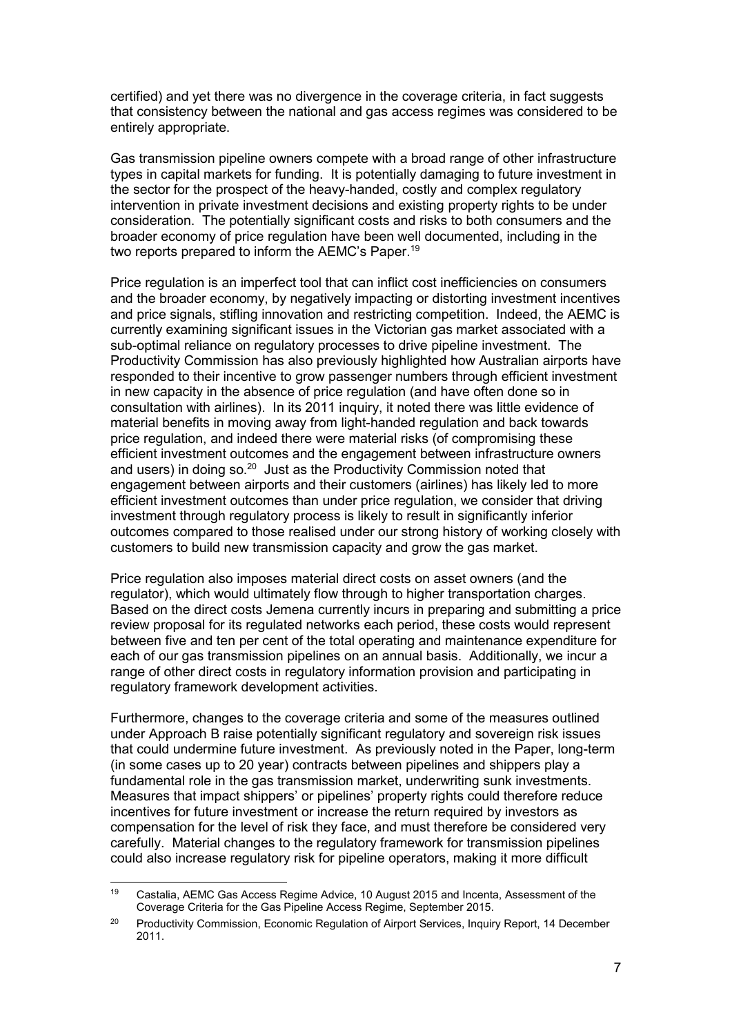certified) and yet there was no divergence in the coverage criteria, in fact suggests that consistency between the national and gas access regimes was considered to be entirely appropriate.

Gas transmission pipeline owners compete with a broad range of other infrastructure types in capital markets for funding. It is potentially damaging to future investment in the sector for the prospect of the heavy-handed, costly and complex regulatory intervention in private investment decisions and existing property rights to be under consideration. The potentially significant costs and risks to both consumers and the broader economy of price regulation have been well documented, including in the two reports prepared to inform the AEMC's Paper.<sup>19</sup>

Price regulation is an imperfect tool that can inflict cost inefficiencies on consumers and the broader economy, by negatively impacting or distorting investment incentives and price signals, stifling innovation and restricting competition. Indeed, the AEMC is currently examining significant issues in the Victorian gas market associated with a sub-optimal reliance on regulatory processes to drive pipeline investment. The Productivity Commission has also previously highlighted how Australian airports have responded to their incentive to grow passenger numbers through efficient investment in new capacity in the absence of price regulation (and have often done so in consultation with airlines). In its 2011 inquiry, it noted there was little evidence of material benefits in moving away from light-handed regulation and back towards price regulation, and indeed there were material risks (of compromising these efficient investment outcomes and the engagement between infrastructure owners and users) in doing so.<sup>20</sup> Just as the Productivity Commission noted that engagement between airports and their customers (airlines) has likely led to more efficient investment outcomes than under price regulation, we consider that driving investment through regulatory process is likely to result in significantly inferior outcomes compared to those realised under our strong history of working closely with customers to build new transmission capacity and grow the gas market.

Price regulation also imposes material direct costs on asset owners (and the regulator), which would ultimately flow through to higher transportation charges. Based on the direct costs Jemena currently incurs in preparing and submitting a price review proposal for its regulated networks each period, these costs would represent between five and ten per cent of the total operating and maintenance expenditure for each of our gas transmission pipelines on an annual basis. Additionally, we incur a range of other direct costs in regulatory information provision and participating in regulatory framework development activities.

Furthermore, changes to the coverage criteria and some of the measures outlined under Approach B raise potentially significant regulatory and sovereign risk issues that could undermine future investment. As previously noted in the Paper, long-term (in some cases up to 20 year) contracts between pipelines and shippers play a fundamental role in the gas transmission market, underwriting sunk investments. Measures that impact shippers' or pipelines' property rights could therefore reduce incentives for future investment or increase the return required by investors as compensation for the level of risk they face, and must therefore be considered very carefully. Material changes to the regulatory framework for transmission pipelines could also increase regulatory risk for pipeline operators, making it more difficult

<sup>19</sup> Castalia, AEMC Gas Access Regime Advice, 10 August 2015 and Incenta, Assessment of the Coverage Criteria for the Gas Pipeline Access Regime, September 2015.

<sup>&</sup>lt;sup>20</sup> Productivity Commission, Economic Regulation of Airport Services, Inquiry Report, 14 December 2011.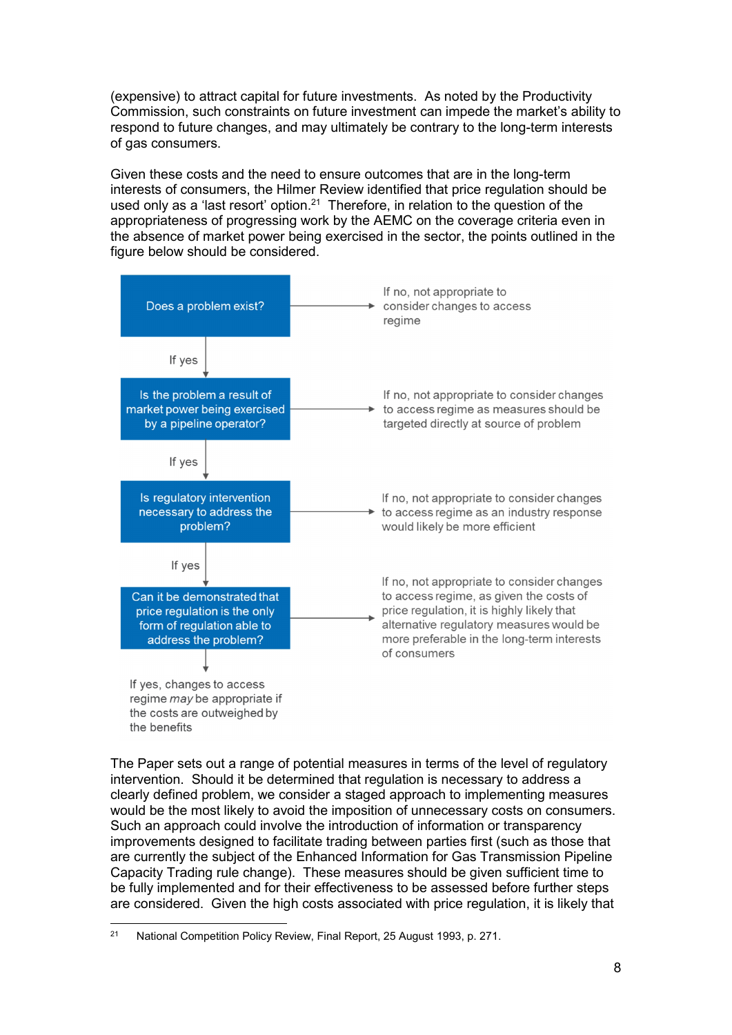(expensive) to attract capital for future investments. As noted by the Productivity Commission, such constraints on future investment can impede the market's ability to respond to future changes, and may ultimately be contrary to the long-term interests of gas consumers.

Given these costs and the need to ensure outcomes that are in the long-term interests of consumers, the Hilmer Review identified that price regulation should be used only as a 'last resort' option.<sup>21</sup> Therefore, in relation to the question of the appropriateness of progressing work by the AEMC on the coverage criteria even in the absence of market power being exercised in the sector, the points outlined in the figure below should be considered.



The Paper sets out a range of potential measures in terms of the level of regulatory intervention. Should it be determined that regulation is necessary to address a clearly defined problem, we consider a staged approach to implementing measures would be the most likely to avoid the imposition of unnecessary costs on consumers. Such an approach could involve the introduction of information or transparency improvements designed to facilitate trading between parties first (such as those that are currently the subject of the Enhanced Information for Gas Transmission Pipeline Capacity Trading rule change). These measures should be given sufficient time to be fully implemented and for their effectiveness to be assessed before further steps are considered. Given the high costs associated with price regulation, it is likely that

<sup>&</sup>lt;sup>21</sup> National Competition Policy Review, Final Report, 25 August 1993, p. 271.